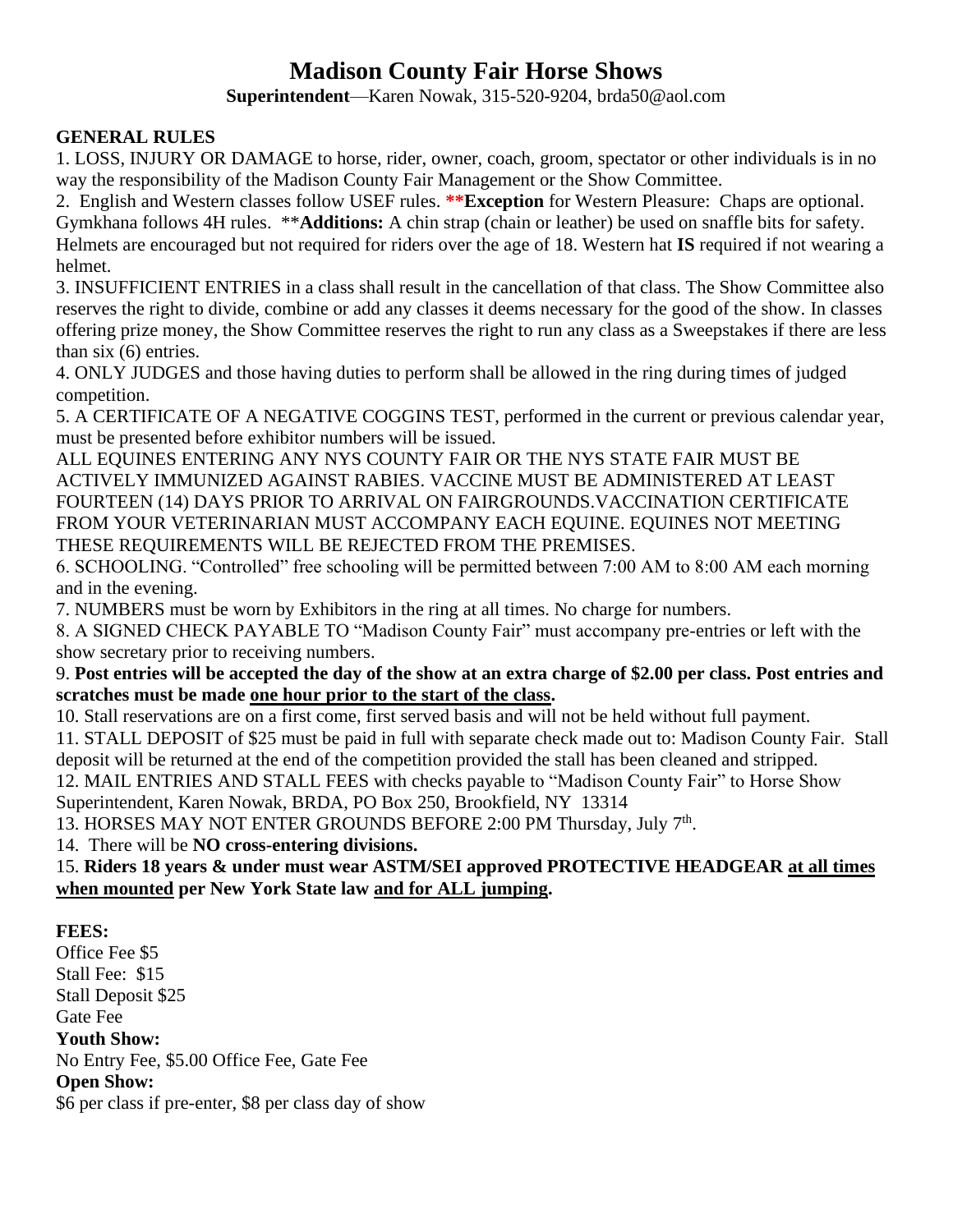# **Madison County Fair Horse Shows**

**Superintendent**—Karen Nowak, 315-520-9204, brda50@aol.com

### **GENERAL RULES**

1. LOSS, INJURY OR DAMAGE to horse, rider, owner, coach, groom, spectator or other individuals is in no way the responsibility of the Madison County Fair Management or the Show Committee.

2. English and Western classes follow USEF rules. **\*\*Exception** for Western Pleasure: Chaps are optional. Gymkhana follows 4H rules. \*\***Additions:** A chin strap (chain or leather) be used on snaffle bits for safety. Helmets are encouraged but not required for riders over the age of 18. Western hat **IS** required if not wearing a helmet.

3. INSUFFICIENT ENTRIES in a class shall result in the cancellation of that class. The Show Committee also reserves the right to divide, combine or add any classes it deems necessary for the good of the show. In classes offering prize money, the Show Committee reserves the right to run any class as a Sweepstakes if there are less than six (6) entries.

4. ONLY JUDGES and those having duties to perform shall be allowed in the ring during times of judged competition.

5. A CERTIFICATE OF A NEGATIVE COGGINS TEST, performed in the current or previous calendar year, must be presented before exhibitor numbers will be issued.

ALL EQUINES ENTERING ANY NYS COUNTY FAIR OR THE NYS STATE FAIR MUST BE ACTIVELY IMMUNIZED AGAINST RABIES. VACCINE MUST BE ADMINISTERED AT LEAST FOURTEEN (14) DAYS PRIOR TO ARRIVAL ON FAIRGROUNDS.VACCINATION CERTIFICATE FROM YOUR VETERINARIAN MUST ACCOMPANY EACH EQUINE. EQUINES NOT MEETING THESE REQUIREMENTS WILL BE REJECTED FROM THE PREMISES.

6. SCHOOLING. "Controlled" free schooling will be permitted between 7:00 AM to 8:00 AM each morning and in the evening.

7. NUMBERS must be worn by Exhibitors in the ring at all times. No charge for numbers.

8. A SIGNED CHECK PAYABLE TO "Madison County Fair" must accompany pre-entries or left with the show secretary prior to receiving numbers.

9. **Post entries will be accepted the day of the show at an extra charge of \$2.00 per class. Post entries and scratches must be made one hour prior to the start of the class.**

10. Stall reservations are on a first come, first served basis and will not be held without full payment.

11. STALL DEPOSIT of \$25 must be paid in full with separate check made out to: Madison County Fair. Stall deposit will be returned at the end of the competition provided the stall has been cleaned and stripped.

12. MAIL ENTRIES AND STALL FEES with checks payable to "Madison County Fair" to Horse Show Superintendent, Karen Nowak, BRDA, PO Box 250, Brookfield, NY 13314

13. HORSES MAY NOT ENTER GROUNDS BEFORE 2:00 PM Thursday, July 7<sup>th</sup>.

14. There will be **NO cross-entering divisions.**

15. **Riders 18 years & under must wear ASTM/SEI approved PROTECTIVE HEADGEAR at all times when mounted per New York State law and for ALL jumping.**

### **FEES:**

Office Fee \$5 Stall Fee: \$15 Stall Deposit \$25 Gate Fee **Youth Show:** No Entry Fee, \$5.00 Office Fee, Gate Fee **Open Show:** \$6 per class if pre-enter, \$8 per class day of show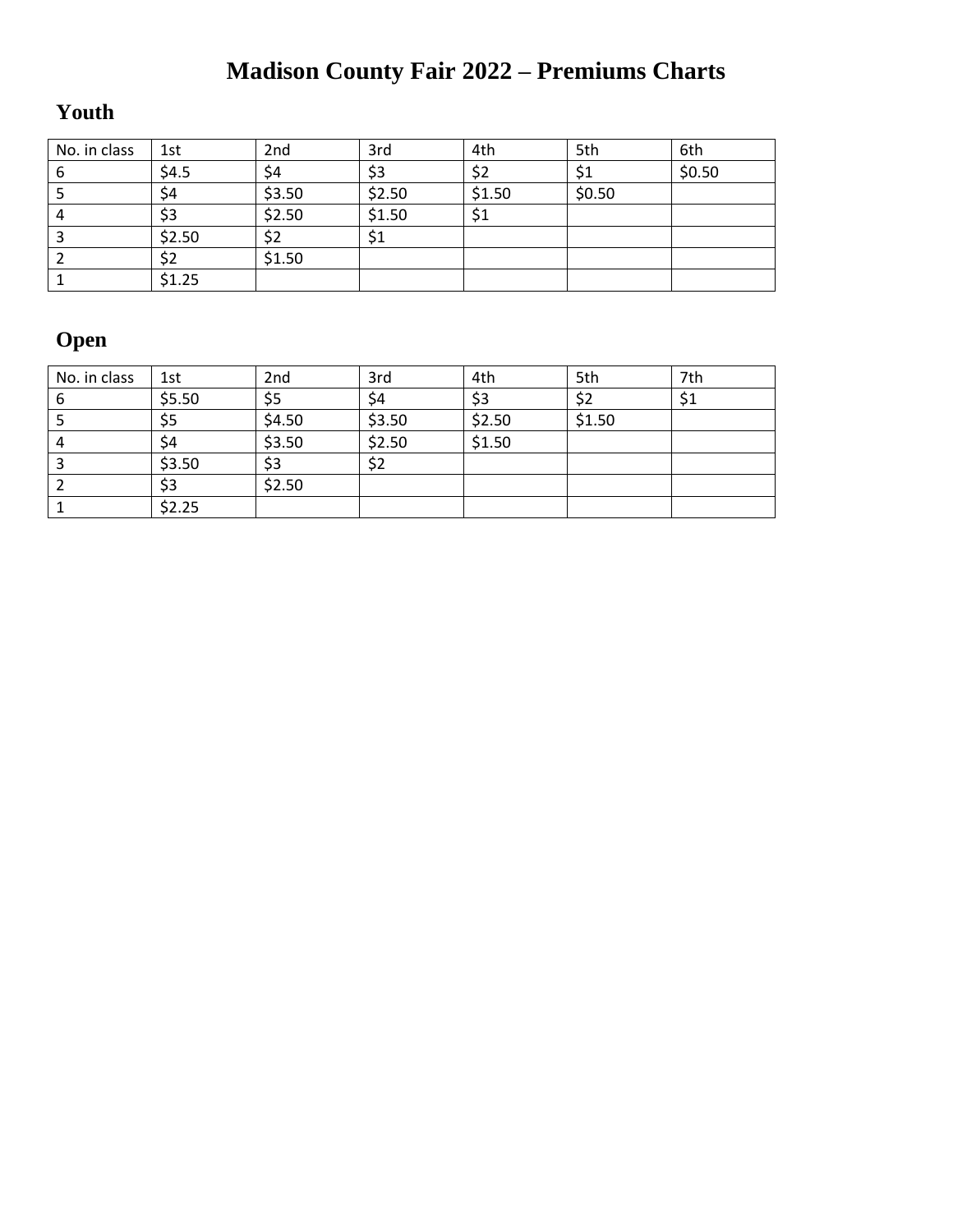# **Madison County Fair 2022 – Premiums Charts**

# **Youth**

| No. in class | 1st    | 2 <sub>nd</sub> | 3rd    | 4th    | 5th    | 6th    |
|--------------|--------|-----------------|--------|--------|--------|--------|
| b            | \$4.5  | \$4             | \$3    | \$2    |        | \$0.50 |
|              | \$4    | \$3.50          | \$2.50 | \$1.50 | \$0.50 |        |
|              | \$3    | \$2.50          | \$1.50 | \$1    |        |        |
|              | \$2.50 | \$2             | \$1    |        |        |        |
|              | \$2    | \$1.50          |        |        |        |        |
|              | \$1.25 |                 |        |        |        |        |

# **Open**

| No. in class | 1st    | 2 <sub>nd</sub> | 3rd    | 4th    | 5th    | 7th |
|--------------|--------|-----------------|--------|--------|--------|-----|
| 6            | \$5.50 | \$5             | \$4    | \$3    | \$2    | \$1 |
|              | \$5    | \$4.50          | \$3.50 | \$2.50 | \$1.50 |     |
| 4            | \$4    | \$3.50          | \$2.50 | \$1.50 |        |     |
|              | \$3.50 | \$3             | \$2    |        |        |     |
|              | \$3    | \$2.50          |        |        |        |     |
|              | \$2.25 |                 |        |        |        |     |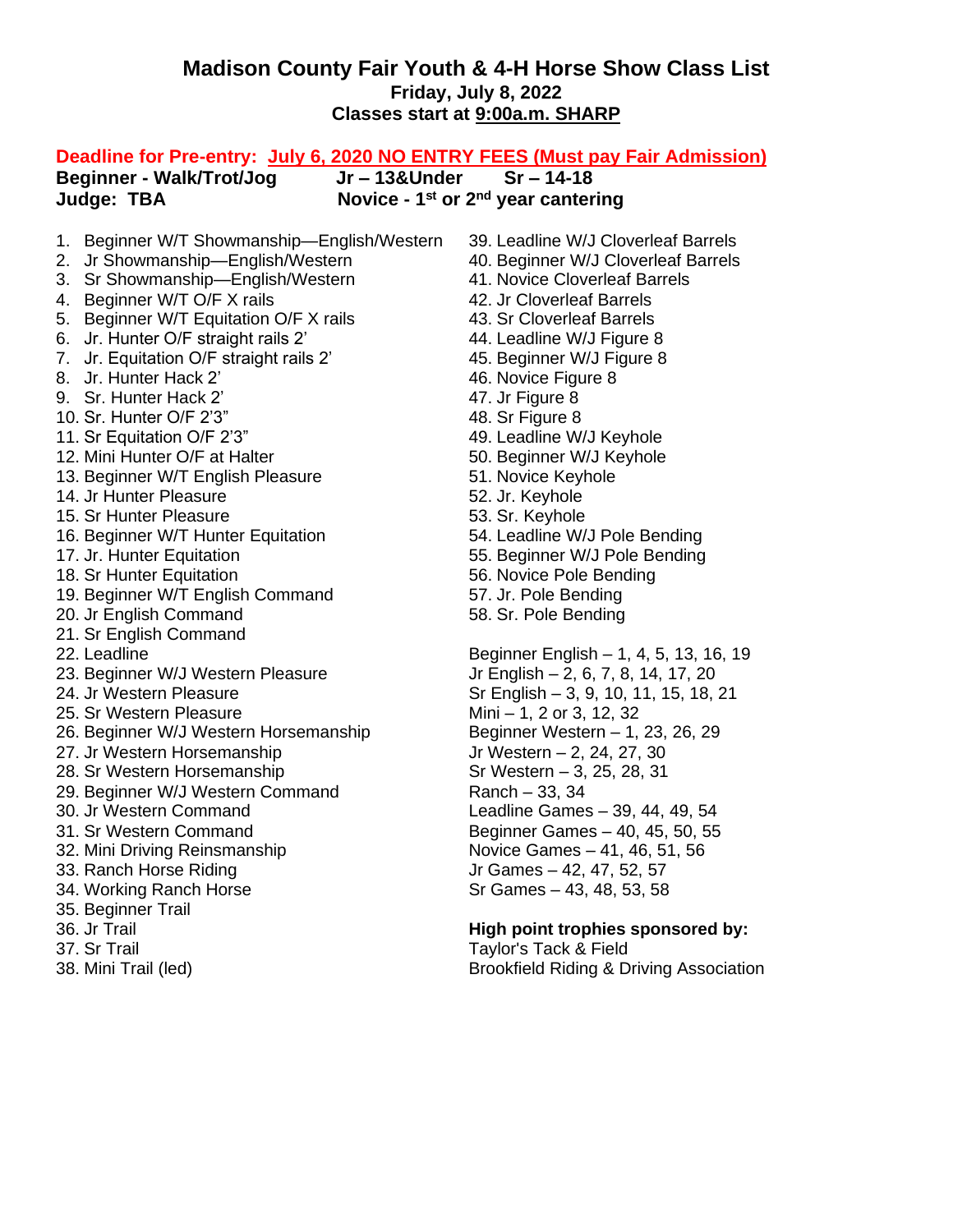## **Madison County Fair Youth & 4-H Horse Show Class List Friday, July 8, 2022 Classes start at 9:00a.m. SHARP**

| Deadline for Pre-entry: July 6, 2020 NO ENTRY FEES (Must pay Fair Admission) |                                              |
|------------------------------------------------------------------------------|----------------------------------------------|
| Jr-13&Under<br><b>Beginner - Walk/Trot/Jog</b>                               | $Sr - 14-18$                                 |
| Judge: TBA                                                                   | Novice - $1^{st}$ or $2^{nd}$ year cantering |
|                                                                              |                                              |
| 1. Beginner W/T Showmanship-English/Western                                  | 39. Leadline W/J Cloverleaf Barrels          |
| 2. Jr Showmanship-English/Western                                            | 40. Beginner W/J Cloverleaf Barrels          |
| 3. Sr Showmanship-English/Western                                            | 41. Novice Cloverleaf Barrels                |
| 4. Beginner W/T O/F X rails                                                  | 42. Jr Cloverleaf Barrels                    |
| 5. Beginner W/T Equitation O/F X rails                                       | 43. Sr Cloverleaf Barrels                    |
| 6. Jr. Hunter O/F straight rails 2'                                          | 44. Leadline W/J Figure 8                    |
| 7. Jr. Equitation O/F straight rails 2'                                      | 45. Beginner W/J Figure 8                    |
| 8. Jr. Hunter Hack 2'                                                        | 46. Novice Figure 8                          |
| 9. Sr. Hunter Hack 2'                                                        | 47. Jr Figure 8                              |
| 10. Sr. Hunter O/F 2'3"                                                      | 48. Sr Figure 8                              |
| 11. Sr Equitation O/F 2'3"                                                   | 49. Leadline W/J Keyhole                     |
| 12. Mini Hunter O/F at Halter                                                | 50. Beginner W/J Keyhole                     |
| 13. Beginner W/T English Pleasure                                            | 51. Novice Keyhole                           |
| 14. Jr Hunter Pleasure                                                       | 52. Jr. Keyhole                              |
| 15. Sr Hunter Pleasure                                                       | 53. Sr. Keyhole                              |
| 16. Beginner W/T Hunter Equitation                                           | 54. Leadline W/J Pole Bending                |
| 17. Jr. Hunter Equitation                                                    | 55. Beginner W/J Pole Bending                |
| 18. Sr Hunter Equitation                                                     | 56. Novice Pole Bending                      |
| 19. Beginner W/T English Command                                             | 57. Jr. Pole Bending                         |
| 20. Jr English Command                                                       | 58. Sr. Pole Bending                         |
| 21. Sr English Command                                                       |                                              |
| 22. Leadline                                                                 | Beginner English - 1, 4, 5, 13, 16, 19       |
| 23. Beginner W/J Western Pleasure                                            | Jr English - 2, 6, 7, 8, 14, 17, 20          |
| 24. Jr Western Pleasure                                                      | Sr English - 3, 9, 10, 11, 15, 18, 21        |
| 25. Sr Western Pleasure                                                      | Mini – 1, 2 or 3, 12, 32                     |
| 26. Beginner W/J Western Horsemanship                                        | Beginner Western - 1, 23, 26, 29             |
| 27. Jr Western Horsemanship                                                  | Jr Western - 2, 24, 27, 30                   |
| 28. Sr Western Horsemanship                                                  | Sr Western – 3, 25, 28, 31                   |
| 29. Beginner W/J Western Command                                             | Ranch - 33, 34                               |
| 30. Jr Western Command                                                       | Leadline Games - 39, 44, 49, 54              |
| 31. Sr Western Command                                                       | Beginner Games - 40, 45, 50, 55              |
| 32. Mini Driving Reinsmanship                                                | Novice Games - 41, 46, 51, 56                |
| 33. Ranch Horse Riding                                                       | Jr Games - 42, 47, 52, 57                    |
| 34. Working Ranch Horse                                                      | Sr Games - 43, 48, 53, 58                    |
| 35. Beginner Trail                                                           |                                              |
| 36. Jr Trail                                                                 | High point trophies sponsored by:            |
| 37. Sr Trail                                                                 | Taylor's Tack & Field                        |
| 38. Mini Trail (led)                                                         | Brookfield Riding & Driving Association      |
|                                                                              |                                              |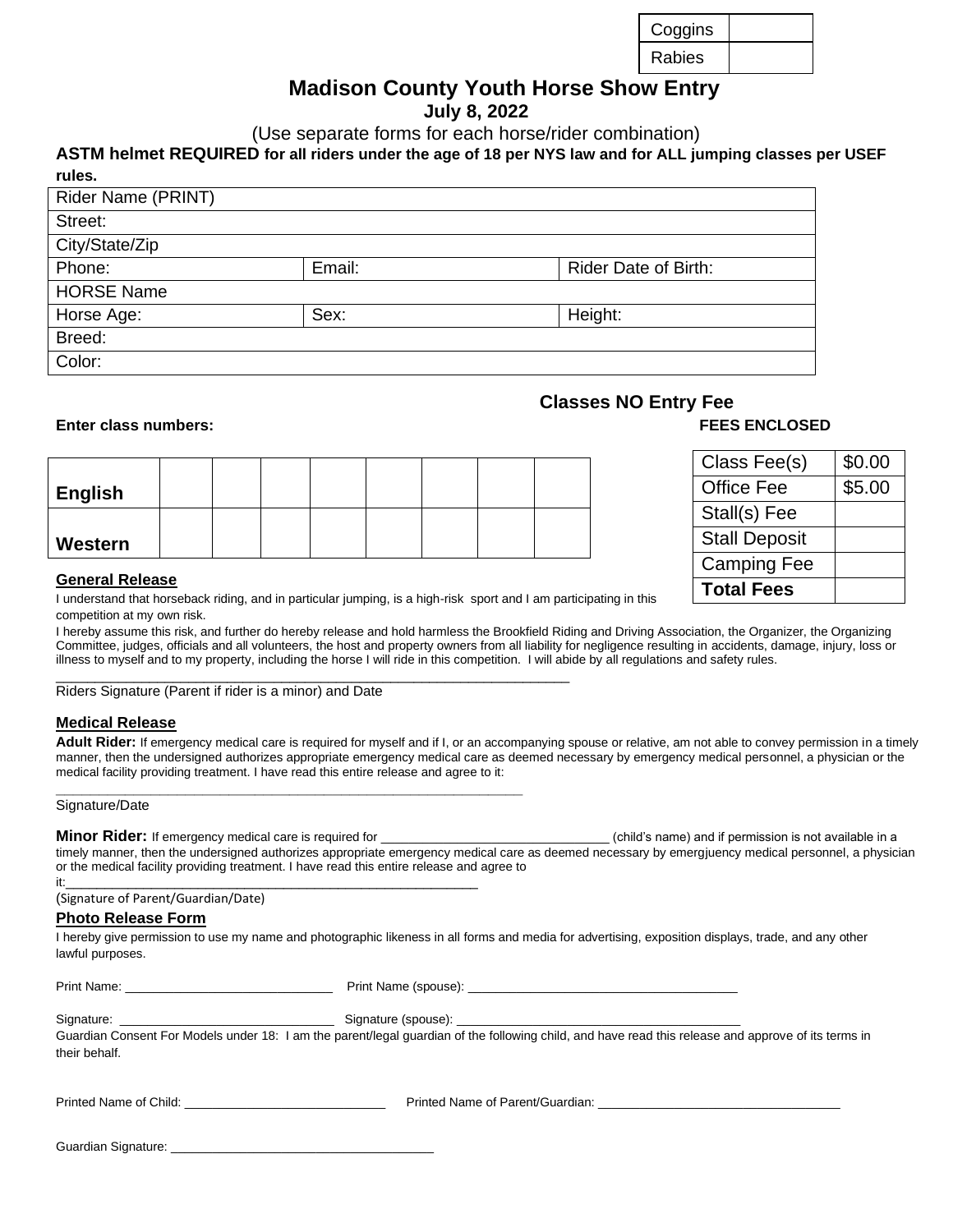# **Madison County Youth Horse Show Entry**

**July 8, 2022**

(Use separate forms for each horse/rider combination)

#### **ASTM helmet REQUIRED for all riders under the age of 18 per NYS law and for ALL jumping classes per USEF rules.**

| Rider Name (PRINT) |        |                             |
|--------------------|--------|-----------------------------|
| Street:            |        |                             |
| City/State/Zip     |        |                             |
| Phone:             | Email: | <b>Rider Date of Birth:</b> |
| <b>HORSE Name</b>  |        |                             |
| Horse Age:         | Sex:   | Height:                     |
| Breed:             |        |                             |
| Color:             |        |                             |
|                    |        |                             |

#### **Enter class numbers: FEES ENCLOSED**

| ∣ English |  |  |  |  |
|-----------|--|--|--|--|
|           |  |  |  |  |
| Western   |  |  |  |  |

### **Classes NO Entry Fee**

| Class Fee(s)         | \$0.00 |
|----------------------|--------|
| <b>Office Fee</b>    | \$5.00 |
| Stall(s) Fee         |        |
| <b>Stall Deposit</b> |        |
| <b>Camping Fee</b>   |        |
| <b>Total Fees</b>    |        |

#### **General Release**

I understand that horseback riding, and in particular jumping, is a high-risk sport and I am participating in this competition at my own risk.

I hereby assume this risk, and further do hereby release and hold harmless the Brookfield Riding and Driving Association, the Organizer, the Organizing Committee, judges, officials and all volunteers, the host and property owners from all liability for negligence resulting in accidents, damage, injury, loss or illness to myself and to my property, including the horse I will ride in this competition. I will abide by all regulations and safety rules.  $\overline{a}$  , and the state of the state of the state of the state of the state of the state of the state of the state of the state of the state of the state of the state of the state of the state of the state of the state o

Riders Signature (Parent if rider is a minor) and Date

#### **Medical Release**

Adult Rider: If emergency medical care is required for myself and if I, or an accompanying spouse or relative, am not able to convey permission in a timely manner, then the undersigned authorizes appropriate emergency medical care as deemed necessary by emergency medical personnel, a physician or the medical facility providing treatment. I have read this entire release and agree to it:

#### **\_\_\_\_\_\_\_\_\_\_\_\_\_\_\_\_\_\_\_\_\_\_\_\_\_\_\_\_\_\_\_\_\_\_\_\_\_\_\_\_\_\_\_\_\_\_\_\_\_\_\_\_\_\_** Signature/Date

**Minor Rider:** If emergency medical care is required for **the absolute of the contract of the contract of the contract of the contract of the contract of the contract of the contract of child's name) and if permission is n** timely manner, then the undersigned authorizes appropriate emergency medical care as deemed necessary by emergjuency medical personnel, a physician or the medical facility providing treatment. I have read this entire release and agree to it:\_\_\_\_\_\_\_\_\_\_\_\_\_\_\_\_\_\_\_\_\_\_\_\_\_\_\_\_\_\_\_\_\_\_\_\_\_\_\_\_\_\_\_\_\_\_\_\_\_\_\_\_\_

| (Signature of Parent/Guardian/Date) |  |
|-------------------------------------|--|
|-------------------------------------|--|

#### **Photo Release Form**

Guardian Signature:

I hereby give permission to use my name and photographic likeness in all forms and media for advertising, exposition displays, trade, and any other lawful purposes.

| their behalf.                            | Guardian Consent For Models under 18: I am the parent/legal guardian of the following child, and have read this release and approve of its terms in |
|------------------------------------------|-----------------------------------------------------------------------------------------------------------------------------------------------------|
| Printed Name of Child: <b>Example 20</b> | Printed Name of Parent/Guardian: New York Channel Control of Parent/Guardian:                                                                       |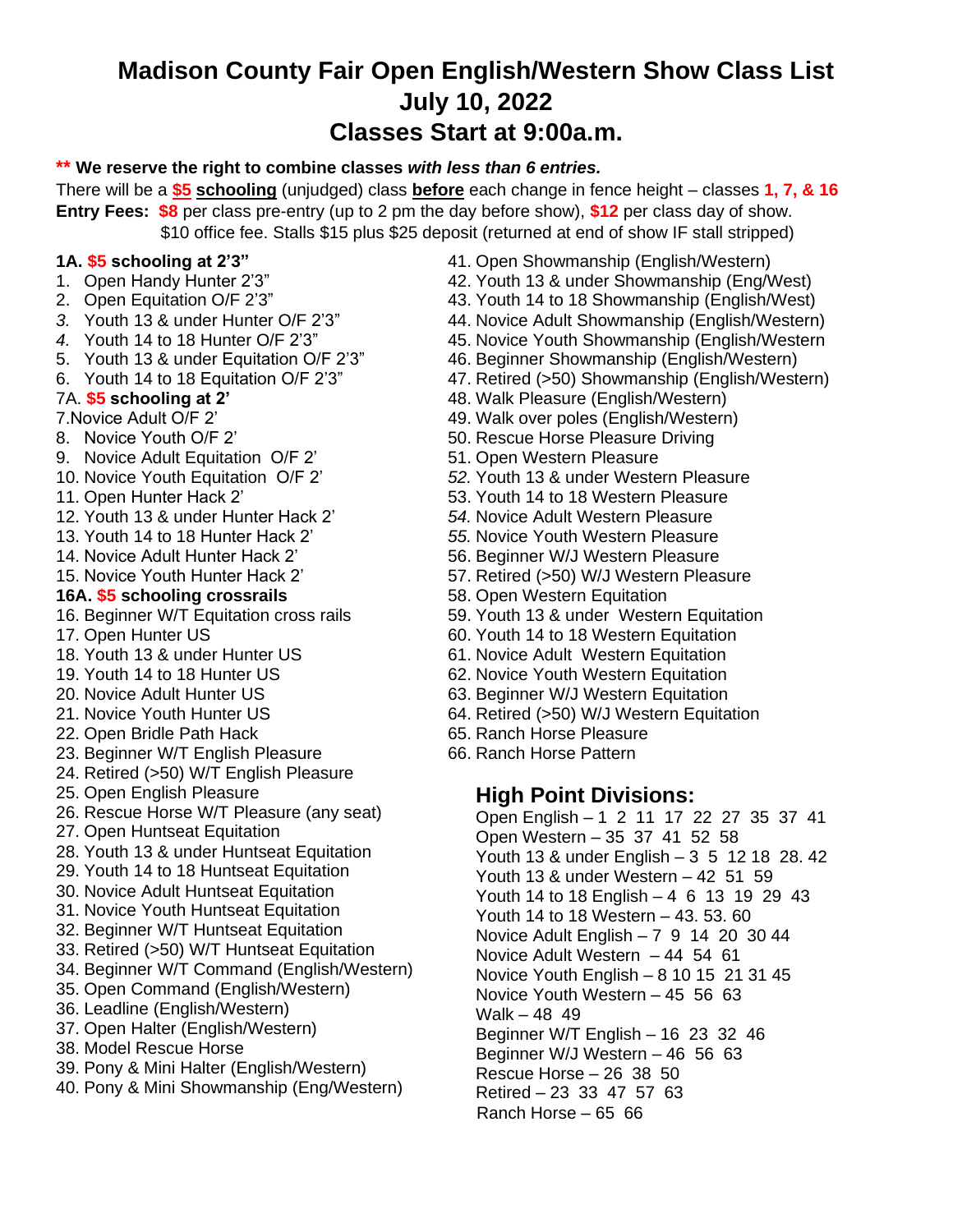# **Madison County Fair Open English/Western Show Class List July 10, 2022 Classes Start at 9:00a.m.**

#### **\*\* We reserve the right to combine classes** *with less than 6 entries.*

There will be a **\$5 schooling** (unjudged) class **before** each change in fence height – classes **1, 7, & 16 Entry Fees: \$8** per class pre-entry (up to 2 pm the day before show), **\$12** per class day of show. \$10 office fee. Stalls \$15 plus \$25 deposit (returned at end of show IF stall stripped)

### **1A. \$5 schooling at 2'3"**

- 1. Open Handy Hunter 2'3"
- 2. Open Equitation O/F 2'3"
- *3.* Youth 13 & under Hunter O/F 2'3"
- *4.* Youth 14 to 18 Hunter O/F 2'3"
- 5. Youth 13 & under Equitation O/F 2'3"
- 6. Youth 14 to 18 Equitation O/F 2'3"

### **7.** 7A. **\$5 schooling at 2'**

- 7.Novice Adult O/F 2'
- 8. Novice Youth O/F 2'
- 9. Novice Adult Equitation O/F 2'
- 10. Novice Youth Equitation O/F 2'
- 11. Open Hunter Hack 2'
- 12. Youth 13 & under Hunter Hack 2'
- 13. Youth 14 to 18 Hunter Hack 2'
- 14. Novice Adult Hunter Hack 2'
- 15. Novice Youth Hunter Hack 2'

### **16A. \$5 schooling crossrails**

- 16. Beginner W/T Equitation cross rails
- 17. Open Hunter US
- 18. Youth 13 & under Hunter US
- 19. Youth 14 to 18 Hunter US
- 20. Novice Adult Hunter US
- 21. Novice Youth Hunter US
- 22. Open Bridle Path Hack
- 23. Beginner W/T English Pleasure
- 24. Retired (>50) W/T English Pleasure
- 25. Open English Pleasure
- 26. Rescue Horse W/T Pleasure (any seat)
- 27. Open Huntseat Equitation
- 28. Youth 13 & under Huntseat Equitation
- 29. Youth 14 to 18 Huntseat Equitation
- 30. Novice Adult Huntseat Equitation
- 31. Novice Youth Huntseat Equitation
- 32. Beginner W/T Huntseat Equitation
- 33. Retired (>50) W/T Huntseat Equitation
- 34. Beginner W/T Command (English/Western)
- 35. Open Command (English/Western)
- 36. Leadline (English/Western)
- 37. Open Halter (English/Western)
- 38. Model Rescue Horse
- 39. Pony & Mini Halter (English/Western)
- 40. Pony & Mini Showmanship (Eng/Western)
- 41. Open Showmanship (English/Western)
- 42. Youth 13 & under Showmanship (Eng/West)
- 43. Youth 14 to 18 Showmanship (English/West)
- 44. Novice Adult Showmanship (English/Western)
- 45. Novice Youth Showmanship (English/Western
- 46. Beginner Showmanship (English/Western)
- 47. Retired (>50) Showmanship (English/Western)
- 48. Walk Pleasure (English/Western)
- 49. Walk over poles (English/Western)
- 50. Rescue Horse Pleasure Driving
- 51. Open Western Pleasure
- *52.* Youth 13 & under Western Pleasure
- 53. Youth 14 to 18 Western Pleasure
- *54.* Novice Adult Western Pleasure
- *55.* Novice Youth Western Pleasure
- 56. Beginner W/J Western Pleasure
- 57. Retired (>50) W/J Western Pleasure
- 58. Open Western Equitation
- 59. Youth 13 & under Western Equitation
- 60. Youth 14 to 18 Western Equitation
- 61. Novice Adult Western Equitation
- 62. Novice Youth Western Equitation
- 63. Beginner W/J Western Equitation
- 64. Retired (>50) W/J Western Equitation
- 65. Ranch Horse Pleasure
- 66. Ranch Horse Pattern

### **High Point Divisions:**

- Open English 1 2 11 17 22 27 35 37 41 Open Western – 35 37 41 52 58 Youth 13 & under English – 3 5 12 18 28. 42 Youth 13 & under Western – 42 51 59 Youth 14 to 18 English – 4 6 13 19 29 43 Youth 14 to 18 Western – 43. 53. 60 Novice Adult English – 7 9 14 20 30 44 Novice Adult Western – 44 54 61 Novice Youth English – 8 10 15 21 31 45 Novice Youth Western – 45 56 63 Walk – 48 49 Beginner W/T English – 16 23 32 46 Beginner W/J Western – 46 56 63 Rescue Horse – 26 38 50 Retired – 23 33 47 57 63
- Ranch Horse 65 66